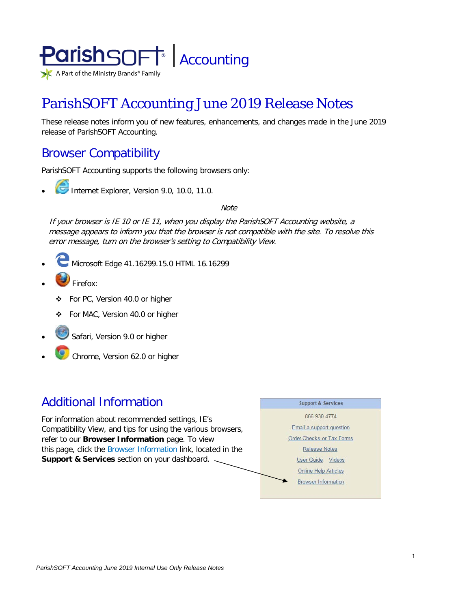

# ParishSOFT Accounting June 2019 Release Notes

These release notes inform you of new features, enhancements, and changes made in the June 2019 release of ParishSOFT Accounting.

# Browser Compatibility

ParishSOFT Accounting supports the following browsers only:

**• Internet Explorer, Version 9.0, 10.0, 11.0.** 

**Note** 

If your browser is IE 10 or IE 11, when you display the ParishSOFT Accounting website, a message appears to inform you that the browser is not compatible with the site. To resolve this error message, turn on the browser's setting to Compatibility View.

- Microsoft Edge 41.16299.15.0 HTML 16.16299
- Firefox:
	- For PC, Version 40.0 or higher
	- For MAC, Version 40.0 or higher
- Safari, Version 9.0 or higher
- Chrome, Version 62.0 or higher

# Additional Information

For information about recommended settings, IE's Compatibility View, and tips for using the various browsers, refer to our **Browser Information** page. To view this page, click the Browser Information link, located in the **Support & Services** section on your dashboard.

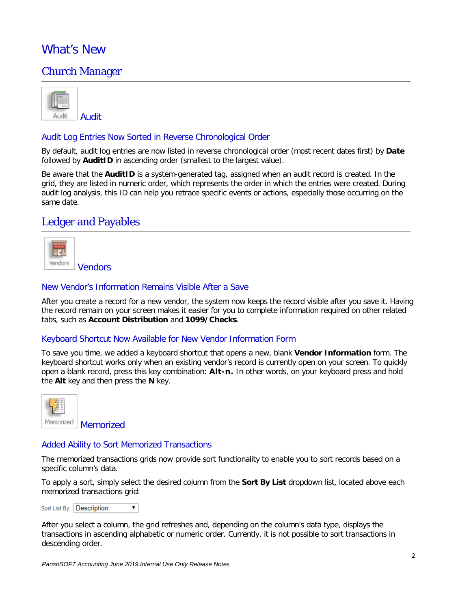# What's New

# Church Manager

| <b>Audit</b> |
|--------------|

### Audit Log Entries Now Sorted in Reverse Chronological Order

By default, audit log entries are now listed in reverse chronological order (most recent dates first) by **Date** followed by **AuditID** in ascending order (smallest to the largest value).

Be aware that the **AuditID** is a system-generated tag, assigned when an audit record is created. In the grid, they are listed in numeric order, which represents the order in which the entries were created. During audit log analysis, this ID can help you retrace specific events or actions, especially those occurring on the same date.

# Ledger and Payables



### New Vendor's Information Remains Visible After a Save

After you create a record for a new vendor, the system now keeps the record visible after you save it. Having the record remain on your screen makes it easier for you to complete information required on other related tabs, such as **Account Distribution** and **1099/Checks**.

### Keyboard Shortcut Now Available for New Vendor Information Form

To save you time, we added a keyboard shortcut that opens a new, blank **Vendor Information** form. The keyboard shortcut works only when an existing vendor's record is currently open on your screen. To quickly open a blank record, press this key combination: **Alt-n.** In other words, on your keyboard press and hold the **Alt** key and then press the **N** key.



Memorized

### Added Ability to Sort Memorized Transactions

The memorized transactions grids now provide sort functionality to enable you to sort records based on a specific column's data.

To apply a sort, simply select the desired column from the **Sort By List** dropdown list, located above each memorized transactions grid:

Sort List By: Description  $\overline{\mathbf{v}}$ 

After you select a column, the grid refreshes and, depending on the column's data type, displays the transactions in ascending alphabetic or numeric order. Currently, it is not possible to sort transactions in descending order.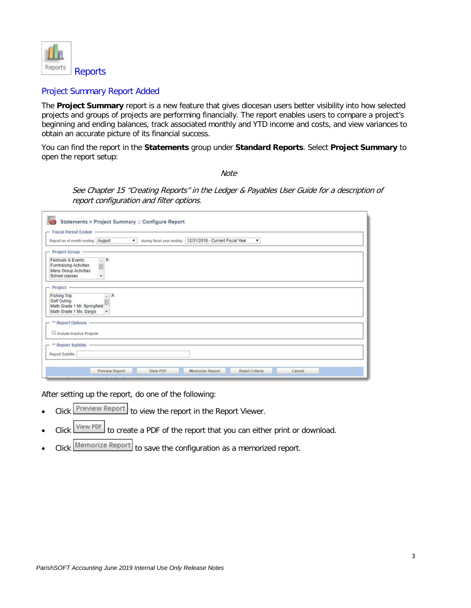

### Project Summary Report Added

The **Project Summary** report is a new feature that gives diocesan users better visibility into how selected projects and groups of projects are performing financially. The report enables users to compare a project's beginning and ending balances, track associated monthly and YTD income and costs, and view variances to obtain an accurate picture of its financial success.

You can find the report in the **Statements** group under **Standard Reports**. Select **Project Summary** to open the report setup:

**Note** 

See Chapter 15 "Creating Reports" in the Ledger & Payables User Guide for a description of report configuration and filter options.

| Report as of month ending: August                                                                         |                   | ۷. | during fiscal year ending: 12/31/2018 - Current Fiscal Year |  | ۷ |  |  |
|-----------------------------------------------------------------------------------------------------------|-------------------|----|-------------------------------------------------------------|--|---|--|--|
| - Project Group                                                                                           |                   |    |                                                             |  |   |  |  |
| Festivals & Events<br>Fundraising Activities<br>Mens Group Activities<br>School classes                   | $\sim$ X<br>w.    |    |                                                             |  |   |  |  |
| $-$ Project $-$<br>Fishing Trip<br>Golf Outing<br>Math Grade 1 Mr. Springfield<br>Math Grade 1 Ms. Dargis | x<br>$\mathbf{v}$ |    |                                                             |  |   |  |  |
| - ** Report Options -<br>Include Inactive Projects                                                        |                   |    |                                                             |  |   |  |  |
| - ** Report Subtitle                                                                                      |                   |    |                                                             |  |   |  |  |
| Report Subtitle:                                                                                          |                   |    |                                                             |  |   |  |  |

After setting up the report, do one of the following:

- Click **Preview Report** to view the report in the Report Viewer.
- Click **View PDF** to create a PDF of the report that you can either print or download.
- Click Memorize Report to save the configuration as a memorized report.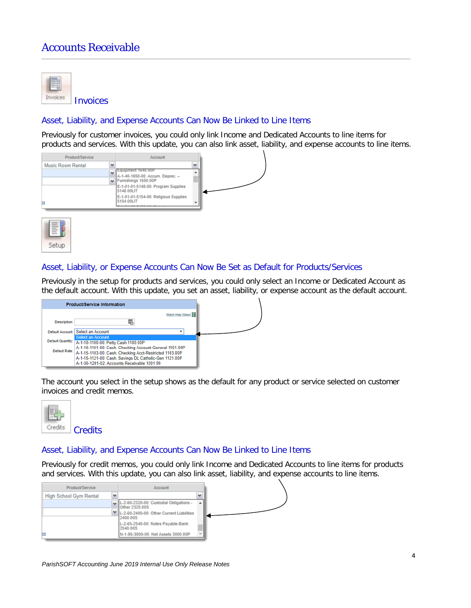# Accounts Receivable



### Asset, Liability, and Expense Accounts Can Now Be Linked to Line Items

Previously for customer invoices, you could only link Income and Dedicated Accounts to line items for products and services. With this update, you can also link asset, liability, and expense accounts to line items.





#### Asset, Liability, or Expense Accounts Can Now Be Set as Default for Products/Services

Previously in the setup for products and services, you could only select an Income or Dedicated Account as the default account. With this update, you set an asset, liability, or expense account as the default account.



The account you select in the setup shows as the default for any product or service selected on customer invoices and credit memos.



#### Asset, Liability, and Expense Accounts Can Now Be Linked to Line Items

Previously for credit memos, you could only link Income and Dedicated Accounts to line items for products and services. With this update, you can also link asset, liability, and expense accounts to line items.

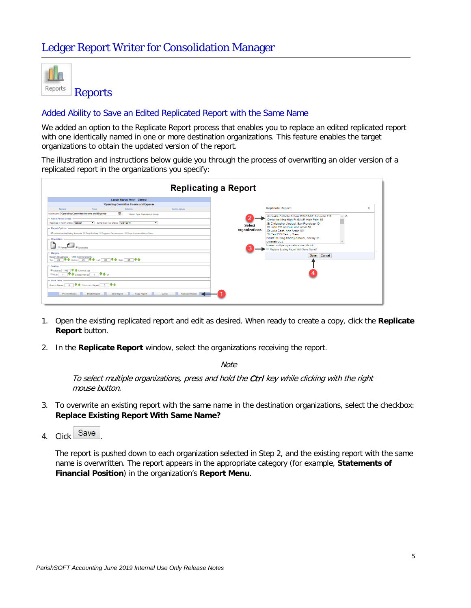

### Added Ability to Save an Edited Replicated Report with the Same Name

We added an option to the Replicate Report process that enables you to replace an edited replicated report with one identically named in one or more destination organizations. This feature enables the target organizations to obtain the updated version of the report.

The illustration and instructions below guide you through the process of overwriting an older version of a replicated report in the organizations you specify:

|                                                                                                                                                                                                                                                                                                                                                                                                                                                                                                                                                                                                                                                                                                                                                                                                                                                                                                                    | <b>Replicating a Report</b>                                                                                                                                                                                                                                                                                                                                                                                                                                                                         |  |
|--------------------------------------------------------------------------------------------------------------------------------------------------------------------------------------------------------------------------------------------------------------------------------------------------------------------------------------------------------------------------------------------------------------------------------------------------------------------------------------------------------------------------------------------------------------------------------------------------------------------------------------------------------------------------------------------------------------------------------------------------------------------------------------------------------------------------------------------------------------------------------------------------------------------|-----------------------------------------------------------------------------------------------------------------------------------------------------------------------------------------------------------------------------------------------------------------------------------------------------------------------------------------------------------------------------------------------------------------------------------------------------------------------------------------------------|--|
| <b>Ledger Report Writer - General</b>                                                                                                                                                                                                                                                                                                                                                                                                                                                                                                                                                                                                                                                                                                                                                                                                                                                                              |                                                                                                                                                                                                                                                                                                                                                                                                                                                                                                     |  |
| 'Operating Committee Income and Expense                                                                                                                                                                                                                                                                                                                                                                                                                                                                                                                                                                                                                                                                                                                                                                                                                                                                            |                                                                                                                                                                                                                                                                                                                                                                                                                                                                                                     |  |
| <b>Custom Values</b><br>General<br>Rows<br>Columns<br>Report Name: Operating Committee Income and Expense<br>÷.<br>Report Type: Statement of Activity<br>- Fiscal Period Ended -<br>during fiscal year ending: 12/31/2015<br>Report as of month ending: October<br>$\overline{\mathbf{r}}$<br>- Report Options<br>87 Include Inactive History Accounts (ii) Print Gridlines (iii) Suppress Zero Accounts (iii) Show Numbers Without Cents<br>Orientation<br>n<br><b>ELE</b> ® Landscape<br>Margins<br>Margin Adjustments - 1/100 Inch Increments<br>Top: 25 V 个 Bottom: 25 V 个 Let: 25 V 个 Right: 25 V 个<br>$-$ Scaling<br><sup>●</sup> Adjust to 100 ● 含 % normal size<br>© Fit to 1 <del>↓</del> 4 page(s) wide by 1 → + 4 tall<br>- Print Titles<br>Rows to Repeat: 0 V 企 Columns to Repeat: 0 V 企<br><b>Replicate Report</b><br>Preview Report<br>Delete Report<br><b>Save Report</b><br>Copy Report<br>Cancel | <b>Replicate Report:</b><br>X<br>$\lambda$ X<br>Asheville Catholic School P/S GAAP, Asheville 210<br>Christ the King-High Pt GAAP, High Point 63<br>.St Christopher Accrual, San Francisco 19<br>Select<br>St John P/S Accrual, Ann Arbor 60<br>organizations<br>.St Luke Cash, Ann Arbor 101<br>.St Paul P/S Cash., Orem<br>Christ the King-Shelby Accrual, Shelby 49<br>Dinnese UC2<br>To select multiple organizations use otri-click.<br>Replace Existing Report With Same Name?<br>Save Cancel |  |

- 1. Open the existing replicated report and edit as desired. When ready to create a copy, click the **Replicate Report** button.
- 2. In the **Replicate Report** window, select the organizations receiving the report.

**Note** 

To select multiple organizations, press and hold the Ctrl key while clicking with the right mouse button.

- 3. To overwrite an existing report with the same name in the destination organizations, select the checkbox: **Replace Existing Report With Same Name?**
- 4. Click Save

The report is pushed down to each organization selected in Step 2, and the existing report with the same name is overwritten. The report appears in the appropriate category (for example, **Statements of Financial Position**) in the organization's **Report Menu**.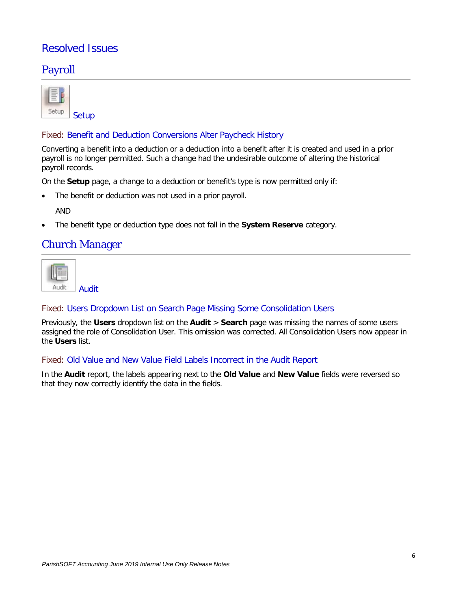# Resolved Issues

# Payroll

| Setup |
|-------|

# Fixed: Benefit and Deduction Conversions Alter Paycheck History

Converting a benefit into a deduction or a deduction into a benefit after it is created and used in a prior payroll is no longer permitted. Such a change had the undesirable outcome of altering the historical payroll records.

On the **Setup** page, a change to a deduction or benefit's type is now permitted only if:

The benefit or deduction was not used in a prior payroll.

AND

• The benefit type or deduction type does not fall in the **System Reserve** category.

# Church Manager

| Audit |
|-------|

### Fixed: Users Dropdown List on Search Page Missing Some Consolidation Users

Previously, the **Users** dropdown list on the **Audit** > **Search** page was missing the names of some users assigned the role of Consolidation User. This omission was corrected. All Consolidation Users now appear in the **Users** list.

### Fixed: Old Value and New Value Field Labels Incorrect in the Audit Report

In the **Audit** report, the labels appearing next to the **Old Value** and **New Value** fields were reversed so that they now correctly identify the data in the fields.